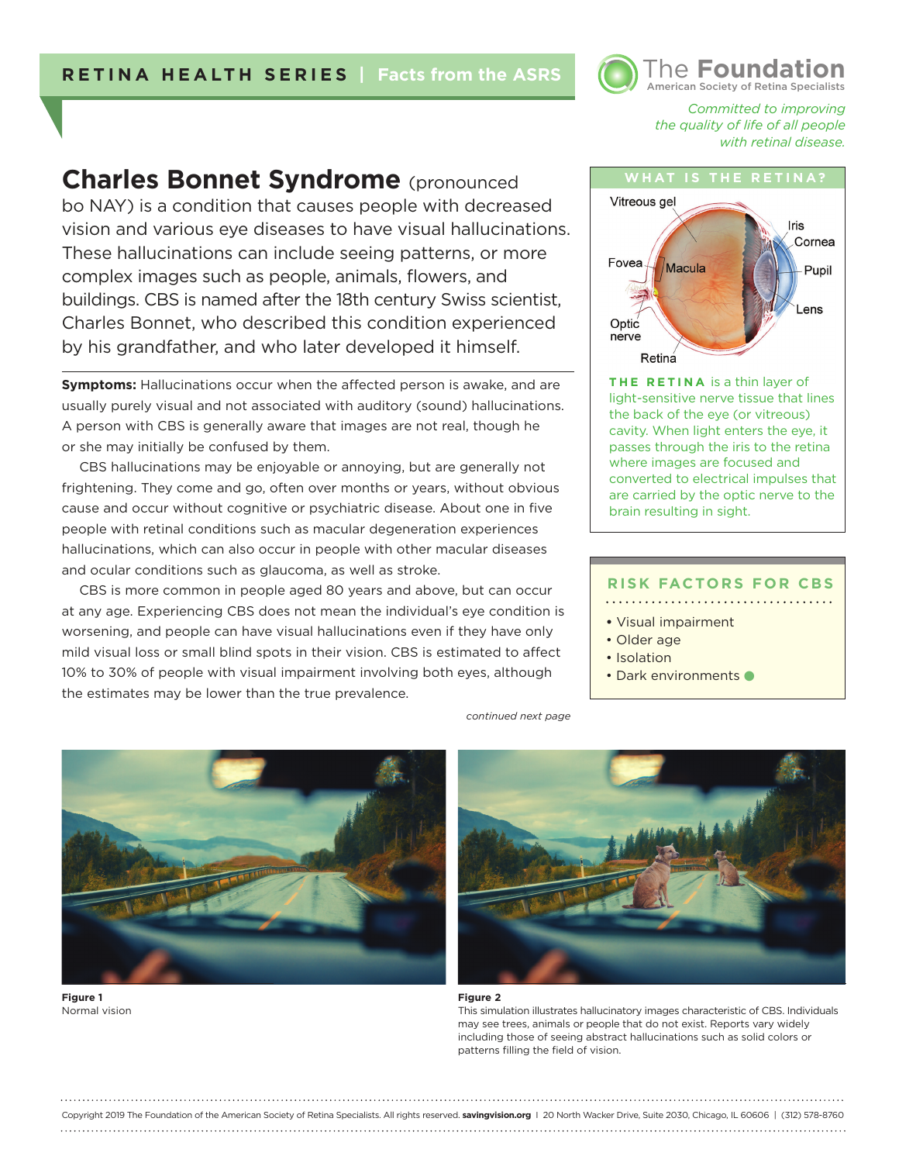

*Committed to improving the quality of life of all people with retinal disease.* 

# **Charles Bonnet Syndrome** (pronounced

bo NAY) is a condition that causes people with decreased vision and various eye diseases to have visual hallucinations. These hallucinations can include seeing patterns, or more complex images such as people, animals, flowers, and buildings. CBS is named after the 18th century Swiss scientist, Charles Bonnet, who described this condition experienced by his grandfather, and who later developed it himself.

**Symptoms:** Hallucinations occur when the affected person is awake, and are usually purely visual and not associated with auditory (sound) hallucinations. A person with CBS is generally aware that images are not real, though he or she may initially be confused by them.

CBS hallucinations may be enjoyable or annoying, but are generally not frightening. They come and go, often over months or years, without obvious cause and occur without cognitive or psychiatric disease. About one in five people with retinal conditions such as macular degeneration experiences hallucinations, which can also occur in people with other macular diseases and ocular conditions such as glaucoma, as well as stroke.

CBS is more common in people aged 80 years and above, but can occur at any age. Experiencing CBS does not mean the individual's eye condition is worsening, and people can have visual hallucinations even if they have only mild visual loss or small blind spots in their vision. CBS is estimated to affect 10% to 30% of people with visual impairment involving both eyes, although the estimates may be lower than the true prevalence.



**THE RETINA** is a thin layer of light-sensitive nerve tissue that lines the back of the eye (or vitreous) cavity. When light enters the eye, it passes through the iris to the retina where images are focused and converted to electrical impulses that are carried by the optic nerve to the brain resulting in sight.

#### **RISK FACTORS FOR CBS**

**•** Visual impairment

- Older age
- Isolation
- Dark environments



**Figure 1**  Normal vision *continued next page*



#### **Figure 2**

Copyright 2019 The Foundation of the American Society of Retina Specialists. All rights reserved. **savingvision.org** I 20 North Wacker Drive, Suite 2030, Chicago, IL 60606 | (312) 578-8760

This simulation illustrates hallucinatory images characteristic of CBS. Individuals may see trees, animals or people that do not exist. Reports vary widely including those of seeing abstract hallucinations such as solid colors or patterns filling the field of vision.